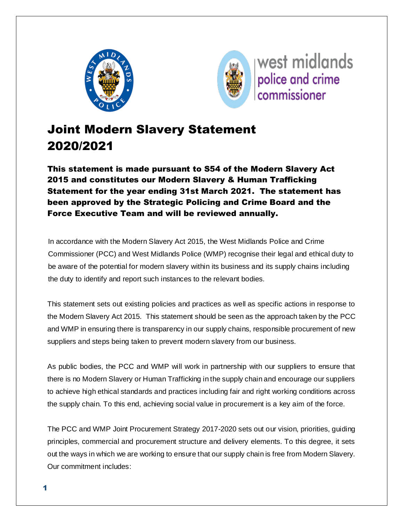



# Joint Modern Slavery Statement 2020/2021

This statement is made pursuant to S54 of the Modern Slavery Act 2015 and constitutes our Modern Slavery & Human Trafficking Statement for the year ending 31st March 2021. The statement has been approved by the Strategic Policing and Crime Board and the Force Executive Team and will be reviewed annually.

In accordance with the Modern Slavery Act 2015, the West Midlands Police and Crime Commissioner (PCC) and West Midlands Police (WMP) recognise their legal and ethical duty to be aware of the potential for modern slavery within its business and its supply chains including the duty to identify and report such instances to the relevant bodies.

This statement sets out existing policies and practices as well as specific actions in response to the Modern Slavery Act 2015. This statement should be seen as the approach taken by the PCC and WMP in ensuring there is transparency in our supply chains, responsible procurement of new suppliers and steps being taken to prevent modern slavery from our business.

As public bodies, the PCC and WMP will work in partnership with our suppliers to ensure that there is no Modern Slavery or Human Trafficking in the supply chain and encourage our suppliers to achieve high ethical standards and practices including fair and right working conditions across the supply chain. To this end, achieving social value in procurement is a key aim of the force.

The PCC and WMP Joint Procurement Strategy 2017-2020 sets out our vision, priorities, guiding principles, commercial and procurement structure and delivery elements. To this degree, it sets out the ways in which we are working to ensure that our supply chain is free from Modern Slavery. Our commitment includes: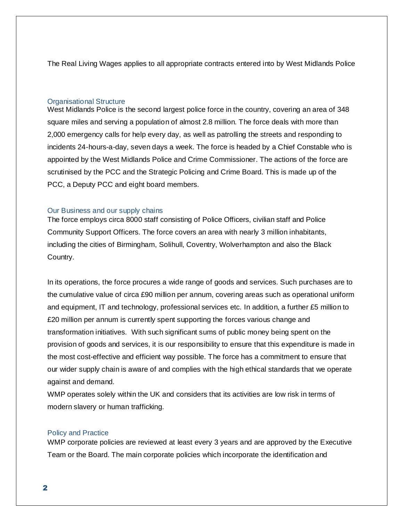The Real Living Wages applies to all appropriate contracts entered into by West Midlands Police

#### Organisational Structure

West Midlands Police is the second largest police force in the country, covering an area of 348 square miles and serving a population of almost 2.8 million. The force deals with more than 2,000 emergency calls for help every day, as well as patrolling the streets and responding to incidents 24-hours-a-day, seven days a week. The force is headed by a Chief Constable who is appointed by the [West Midlands Police and Crime Commissioner.](http://www.westmidlands-pcc.gov.uk/) The actions of the force are scrutinised by the PCC and the Strategic Policing and Crime Board. This is made up of the PCC, a Deputy PCC and eight board members.

#### Our Business and our supply chains

The force employs circa 8000 staff consisting of Police Officers, civilian staff and Police Community Support Officers. The force covers an area with nearly 3 million inhabitants, including the cities of Birmingham, Solihull, Coventry, Wolverhampton and also the Black Country.

In its operations, the force procures a wide range of goods and services. Such purchases are to the cumulative value of circa £90 million per annum, covering areas such as operational uniform and equipment, IT and technology, professional services etc. In addition, a further £5 million to £20 million per annum is currently spent supporting the forces various change and transformation initiatives. With such significant sums of public money being spent on the provision of goods and services, it is our responsibility to ensure that this expenditure is made in the most cost-effective and efficient way possible. The force has a commitment to ensure that our wider supply chain is aware of and complies with the high ethical standards that we operate against and demand.

WMP operates solely within the UK and considers that its activities are low risk in terms of modern slavery or human trafficking.

#### Policy and Practice

WMP corporate policies are reviewed at least every 3 years and are approved by the Executive Team or the Board. The main corporate policies which incorporate the identification and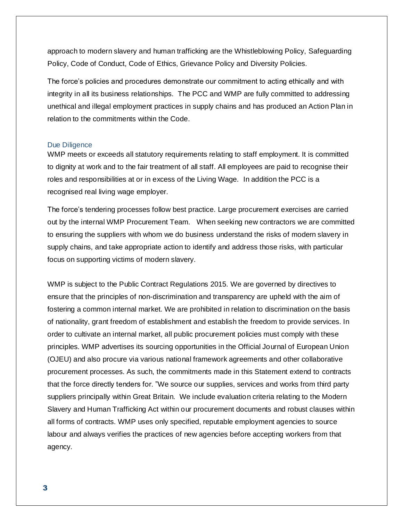approach to modern slavery and human trafficking are the Whistleblowing Policy, Safeguarding Policy, Code of Conduct, Code of Ethics, Grievance Policy and Diversity Policies.

The force's policies and procedures demonstrate our commitment to acting ethically and with integrity in all its business relationships. The PCC and WMP are fully committed to addressing unethical and illegal employment practices in supply chains and has produced an Action Plan in relation to the commitments within the Code.

#### Due Diligence

WMP meets or exceeds all statutory requirements relating to staff employment. It is committed to dignity at work and to the fair treatment of all staff. All employees are paid to recognise their roles and responsibilities at or in excess of the Living Wage. In addition the PCC is a recognised real living wage employer.

The force's tendering processes follow best practice. Large procurement exercises are carried out by the internal WMP Procurement Team. When seeking new contractors we are committed to ensuring the suppliers with whom we do business understand the risks of modern slavery in supply chains, and take appropriate action to identify and address those risks, with particular focus on supporting victims of modern slavery.

WMP is subject to the Public Contract Regulations 2015. We are governed by directives to ensure that the principles of non-discrimination and transparency are upheld with the aim of fostering a common internal market. We are prohibited in relation to discrimination on the basis of nationality, grant freedom of establishment and establish the freedom to provide services. In order to cultivate an internal market, all public procurement policies must comply with these principles. WMP advertises its sourcing opportunities in the Official Journal of European Union (OJEU) and also procure via various national framework agreements and other collaborative procurement processes. As such, the commitments made in this Statement extend to contracts that the force directly tenders for. "We source our supplies, services and works from third party suppliers principally within Great Britain. We include evaluation criteria relating to the Modern Slavery and Human Trafficking Act within our procurement documents and robust clauses within all forms of contracts. WMP uses only specified, reputable employment agencies to source labour and always verifies the practices of new agencies before accepting workers from that agency.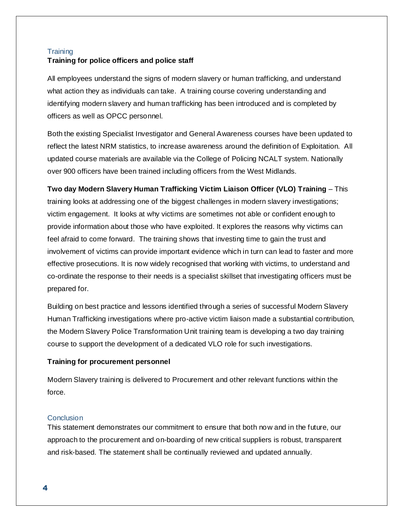# **Training Training for police officers and police staff**

All employees understand the signs of modern slavery or human trafficking, and understand what action they as individuals can take. A training course covering understanding and identifying modern slavery and human trafficking has been introduced and is completed by officers as well as OPCC personnel.

Both the existing Specialist Investigator and General Awareness courses have been updated to reflect the latest NRM statistics, to increase awareness around the definition of Exploitation. All updated course materials are available via the College of Policing NCALT system. Nationally over 900 officers have been trained including officers from the West Midlands.

**Two day Modern Slavery Human Trafficking Victim Liaison Officer (VLO) Training** – This training looks at addressing one of the biggest challenges in modern slavery investigations; victim engagement. It looks at why victims are sometimes not able or confident enough to provide information about those who have exploited. It explores the reasons why victims can feel afraid to come forward. The training shows that investing time to gain the trust and involvement of victims can provide important evidence which in turn can lead to faster and more effective prosecutions. It is now widely recognised that working with victims, to understand and co-ordinate the response to their needs is a specialist skillset that investigating officers must be prepared for.

Building on best practice and lessons identified through a series of successful Modern Slavery Human Trafficking investigations where pro-active victim liaison made a substantial contribution, the Modern Slavery Police Transformation Unit training team is developing a two day training course to support the development of a dedicated VLO role for such investigations.

## **Training for procurement personnel**

Modern Slavery training is delivered to Procurement and other relevant functions within the force.

## **Conclusion**

This statement demonstrates our commitment to ensure that both now and in the future, our approach to the procurement and on-boarding of new critical suppliers is robust, transparent and risk-based. The statement shall be continually reviewed and updated annually.